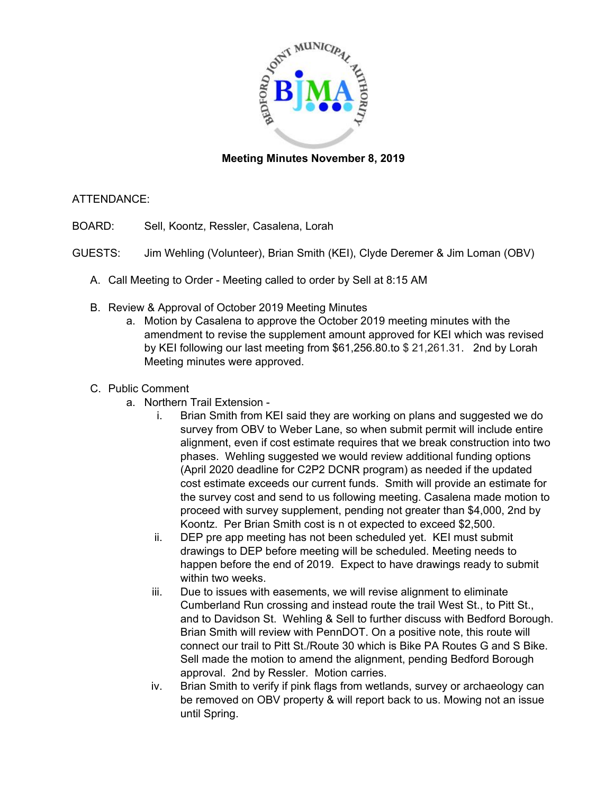

## **Meeting Minutes November 8, 2019**

## ATTENDANCE:

BOARD: Sell, Koontz, Ressler, Casalena, Lorah

- GUESTS: Jim Wehling (Volunteer), Brian Smith (KEI), Clyde Deremer & Jim Loman (OBV)
	- A. Call Meeting to Order Meeting called to order by Sell at 8:15 AM
	- B. Review & Approval of October 2019 Meeting Minutes
		- a. Motion by Casalena to approve the October 2019 meeting minutes with the amendment to revise the supplement amount approved for KEI which was revised by KEI following our last meeting from \$61,256.80.to \$ 21,261.31. 2nd by Lorah Meeting minutes were approved.
	- C. Public Comment
		- a. Northern Trail Extension
			- i. Brian Smith from KEI said they are working on plans and suggested we do survey from OBV to Weber Lane, so when submit permit will include entire alignment, even if cost estimate requires that we break construction into two phases. Wehling suggested we would review additional funding options (April 2020 deadline for C2P2 DCNR program) as needed if the updated cost estimate exceeds our current funds. Smith will provide an estimate for the survey cost and send to us following meeting. Casalena made motion to proceed with survey supplement, pending not greater than \$4,000, 2nd by Koontz. Per Brian Smith cost is n ot expected to exceed \$2,500.
			- ii. DEP pre app meeting has not been scheduled yet. KEI must submit drawings to DEP before meeting will be scheduled. Meeting needs to happen before the end of 2019. Expect to have drawings ready to submit within two weeks.
			- iii. Due to issues with easements, we will revise alignment to eliminate Cumberland Run crossing and instead route the trail West St., to Pitt St., and to Davidson St. Wehling & Sell to further discuss with Bedford Borough. Brian Smith will review with PennDOT. On a positive note, this route will connect our trail to Pitt St./Route 30 which is Bike PA Routes G and S Bike. Sell made the motion to amend the alignment, pending Bedford Borough approval. 2nd by Ressler. Motion carries.
			- iv. Brian Smith to verify if pink flags from wetlands, survey or archaeology can be removed on OBV property & will report back to us. Mowing not an issue until Spring.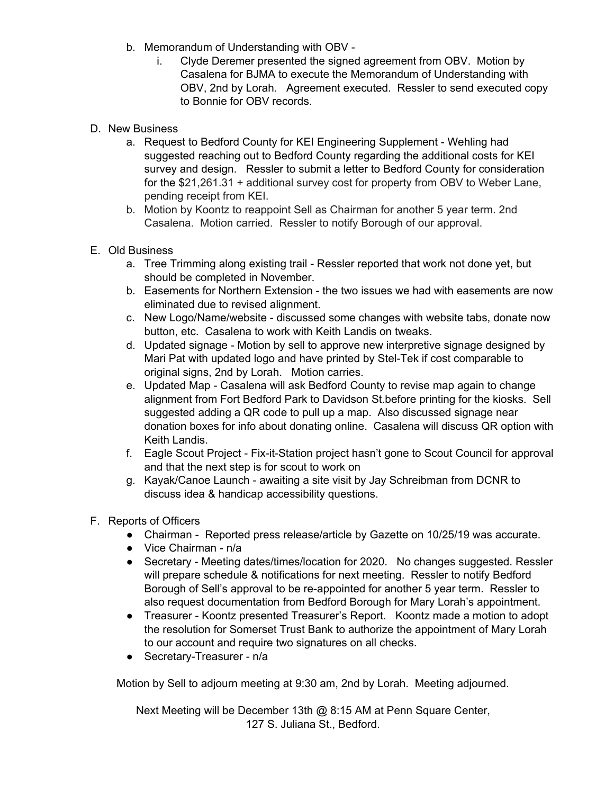- b. Memorandum of Understanding with OBV
	- i. Clyde Deremer presented the signed agreement from OBV. Motion by Casalena for BJMA to execute the Memorandum of Understanding with OBV, 2nd by Lorah. Agreement executed. Ressler to send executed copy to Bonnie for OBV records.
- D. New Business
	- a. Request to Bedford County for KEI Engineering Supplement Wehling had suggested reaching out to Bedford County regarding the additional costs for KEI survey and design. Ressler to submit a letter to Bedford County for consideration for the \$21,261.31 + additional survey cost for property from OBV to Weber Lane, pending receipt from KEI.
	- b. Motion by Koontz to reappoint Sell as Chairman for another 5 year term. 2nd Casalena. Motion carried. Ressler to notify Borough of our approval.
- E. Old Business
	- a. Tree Trimming along existing trail Ressler reported that work not done yet, but should be completed in November.
	- b. Easements for Northern Extension the two issues we had with easements are now eliminated due to revised alignment.
	- c. New Logo/Name/website discussed some changes with website tabs, donate now button, etc. Casalena to work with Keith Landis on tweaks.
	- d. Updated signage Motion by sell to approve new interpretive signage designed by Mari Pat with updated logo and have printed by Stel-Tek if cost comparable to original signs, 2nd by Lorah. Motion carries.
	- e. Updated Map Casalena will ask Bedford County to revise map again to change alignment from Fort Bedford Park to Davidson St.before printing for the kiosks. Sell suggested adding a QR code to pull up a map. Also discussed signage near donation boxes for info about donating online. Casalena will discuss QR option with Keith Landis.
	- f. Eagle Scout Project Fix-it-Station project hasn't gone to Scout Council for approval and that the next step is for scout to work on
	- g. Kayak/Canoe Launch awaiting a site visit by Jay Schreibman from DCNR to discuss idea & handicap accessibility questions.
- F. Reports of Officers
	- Chairman Reported press release/article by Gazette on 10/25/19 was accurate.
	- Vice Chairman n/a
	- Secretary Meeting dates/times/location for 2020. No changes suggested. Ressler will prepare schedule & notifications for next meeting. Ressler to notify Bedford Borough of Sell's approval to be re-appointed for another 5 year term. Ressler to also request documentation from Bedford Borough for Mary Lorah's appointment.
	- Treasurer Koontz presented Treasurer's Report. Koontz made a motion to adopt the resolution for Somerset Trust Bank to authorize the appointment of Mary Lorah to our account and require two signatures on all checks.
	- Secretary-Treasurer n/a

Motion by Sell to adjourn meeting at 9:30 am, 2nd by Lorah. Meeting adjourned.

Next Meeting will be December 13th @ 8:15 AM at Penn Square Center, 127 S. Juliana St., Bedford.